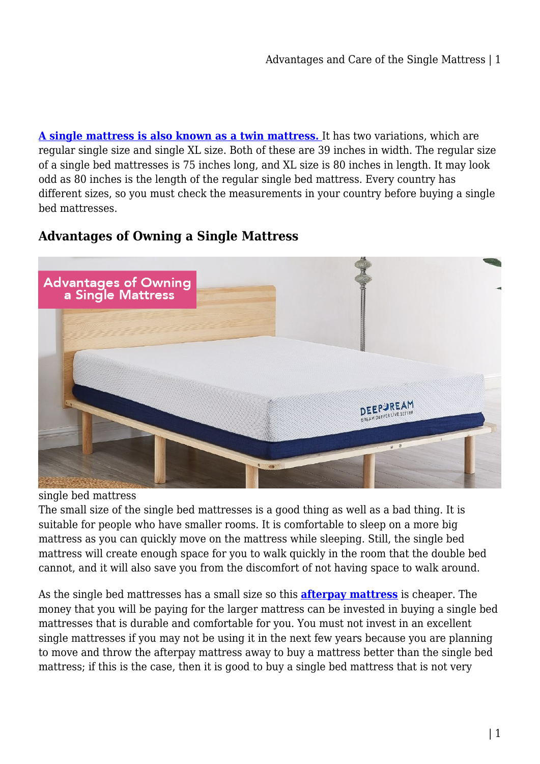**[A single mattress is also known as a twin mattress.](https://mattressoffers.com.au/mattress/single-mattress/)** It has two variations, which are regular single size and single XL size. Both of these are 39 inches in width. The regular size of a single bed mattresses is 75 inches long, and XL size is 80 inches in length. It may look odd as 80 inches is the length of the regular single bed mattress. Every country has different sizes, so you must check the measurements in your country before buying a single bed mattresses.

# **Advantages of Owning a Single Mattress**



single bed mattress

The small size of the single bed mattresses is a good thing as well as a bad thing. It is suitable for people who have smaller rooms. It is comfortable to sleep on a more big mattress as you can quickly move on the mattress while sleeping. Still, the single bed mattress will create enough space for you to walk quickly in the room that the double bed cannot, and it will also save you from the discomfort of not having space to walk around.

As the single bed mattresses has a small size so this **[afterpay mattress](https://mattressoffers.com.au/mattress/)** is cheaper. The money that you will be paying for the larger mattress can be invested in buying a single bed mattresses that is durable and comfortable for you. You must not invest in an excellent single mattresses if you may not be using it in the next few years because you are planning to move and throw the afterpay mattress away to buy a mattress better than the single bed mattress; if this is the case, then it is good to buy a single bed mattress that is not very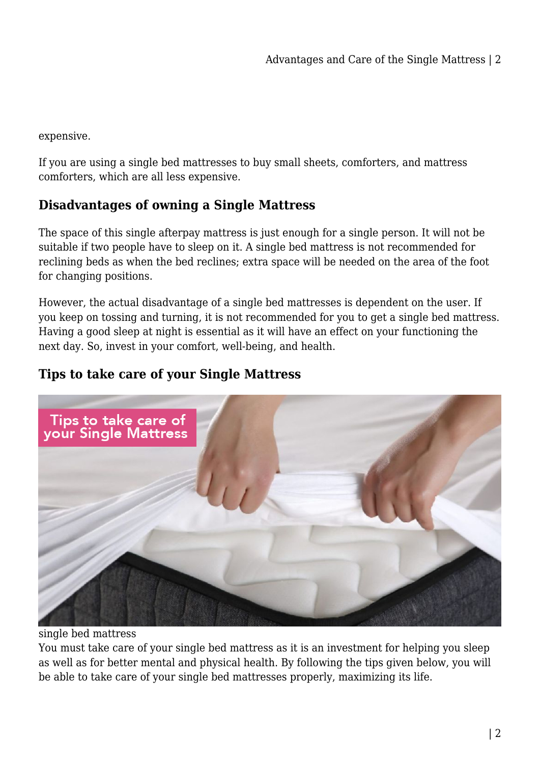expensive.

If you are using a single bed mattresses to buy small sheets, comforters, and mattress comforters, which are all less expensive.

# **Disadvantages of owning a Single Mattress**

The space of this single afterpay mattress is just enough for a single person. It will not be suitable if two people have to sleep on it. A single bed mattress is not recommended for reclining beds as when the bed reclines; extra space will be needed on the area of the foot for changing positions.

However, the actual disadvantage of a single bed mattresses is dependent on the user. If you keep on tossing and turning, it is not recommended for you to get a single bed mattress. Having a good sleep at night is essential as it will have an effect on your functioning the next day. So, invest in your comfort, well-being, and health.

# **Tips to take care of your Single Mattress**



single bed mattress

You must take care of your single bed mattress as it is an investment for helping you sleep as well as for better mental and physical health. By following the tips given below, you will be able to take care of your single bed mattresses properly, maximizing its life.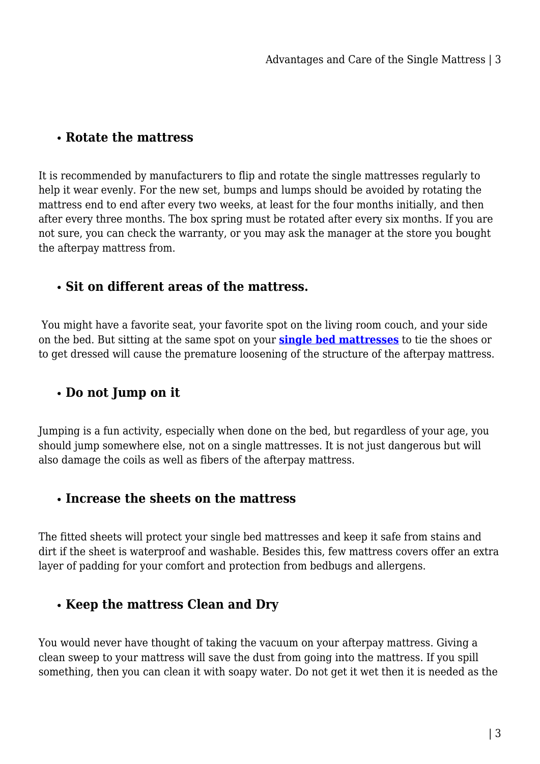## **Rotate the mattress**

It is recommended by manufacturers to flip and rotate the single mattresses regularly to help it wear evenly. For the new set, bumps and lumps should be avoided by rotating the mattress end to end after every two weeks, at least for the four months initially, and then after every three months. The box spring must be rotated after every six months. If you are not sure, you can check the warranty, or you may ask the manager at the store you bought the afterpay mattress from.

### **Sit on different areas of the mattress.**

 You might have a favorite seat, your favorite spot on the living room couch, and your side on the bed. But sitting at the same spot on your **[single bed mattresses](https://mattressoffers.com.au/mattress/single-mattress/)** to tie the shoes or to get dressed will cause the premature loosening of the structure of the afterpay mattress.

# **Do not Jump on it**

Jumping is a fun activity, especially when done on the bed, but regardless of your age, you should jump somewhere else, not on a single mattresses. It is not just dangerous but will also damage the coils as well as fibers of the afterpay mattress.

#### **Increase the sheets on the mattress**

The fitted sheets will protect your single bed mattresses and keep it safe from stains and dirt if the sheet is waterproof and washable. Besides this, few mattress covers offer an extra layer of padding for your comfort and protection from bedbugs and allergens.

## **Keep the mattress Clean and Dry**

You would never have thought of taking the vacuum on your afterpay mattress. Giving a clean sweep to your mattress will save the dust from going into the mattress. If you spill something, then you can clean it with soapy water. Do not get it wet then it is needed as the